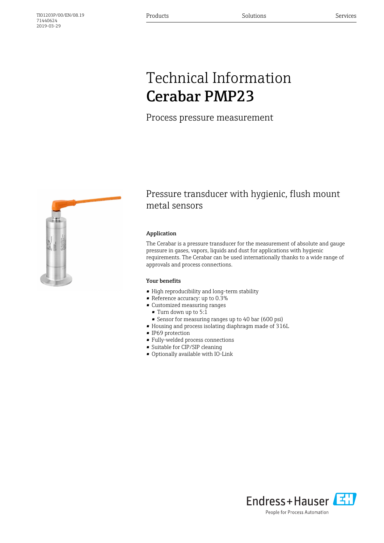## Technical Information Cerabar PMP23

Process pressure measurement



### Pressure transducer with hygienic, flush mount metal sensors

#### Application

The Cerabar is a pressure transducer for the measurement of absolute and gauge pressure in gases, vapors, liquids and dust for applications with hygienic requirements. The Cerabar can be used internationally thanks to a wide range of approvals and process connections.

#### Your benefits

- High reproducibility and long-term stability
- Reference accuracy: up to 0.3%
- Customized measuring ranges
- Turn down up to 5:1
- Sensor for measuring ranges up to 40 bar (600 psi)
- Housing and process isolating diaphragm made of 316L
- IP69 protection
- Fully-welded process connections
- Suitable for CIP/SIP cleaning
- Optionally available with IO-Link

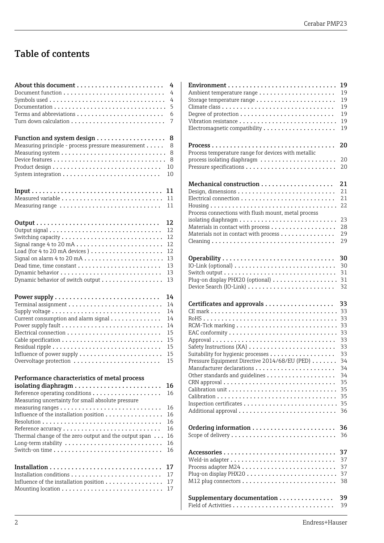## Table of contents

|                                                                                                   | 4        |
|---------------------------------------------------------------------------------------------------|----------|
|                                                                                                   | 4        |
|                                                                                                   | 4        |
|                                                                                                   | 5        |
|                                                                                                   | 6        |
|                                                                                                   | 7        |
|                                                                                                   | 8        |
| Measuring principle - process pressure measurement                                                | 8        |
|                                                                                                   | 8        |
|                                                                                                   | 8        |
|                                                                                                   | 10       |
|                                                                                                   | 10       |
|                                                                                                   | 11       |
|                                                                                                   | 11       |
| Measuring range                                                                                   | 11       |
|                                                                                                   | 12       |
|                                                                                                   | 12       |
|                                                                                                   | 12       |
| Signal range 4 to 20 mA                                                                           | 12       |
| Load (for 4 to 20 mA devices)                                                                     | 12       |
|                                                                                                   | 13       |
|                                                                                                   | 13       |
|                                                                                                   | 13       |
| Dynamic behavior of switch output                                                                 | 13       |
|                                                                                                   | 14       |
|                                                                                                   | 14       |
|                                                                                                   | 14       |
| Current consumption and alarm signal                                                              | 14       |
|                                                                                                   | 14       |
|                                                                                                   | 15       |
|                                                                                                   | 15       |
|                                                                                                   | 15       |
|                                                                                                   | 15       |
| Overvoltage protection                                                                            | 15       |
| Performance characteristics of metal process<br>Measuring uncertainty for small absolute pressure | 16<br>16 |
|                                                                                                   | 16       |
| Influence of the installation position                                                            | 16       |
|                                                                                                   | 16       |
|                                                                                                   | 16       |
| Thermal change of the zero output and the output span $\ldots$                                    | 16       |
|                                                                                                   | 16       |
|                                                                                                   | 16       |
|                                                                                                   | 17       |
|                                                                                                   | 17       |
| Influence of the installation position                                                            | 17       |
|                                                                                                   | 17       |

|                                                                                                                                   | 19                                           |
|-----------------------------------------------------------------------------------------------------------------------------------|----------------------------------------------|
|                                                                                                                                   | 19                                           |
|                                                                                                                                   | 19                                           |
|                                                                                                                                   | 19                                           |
|                                                                                                                                   | 19                                           |
|                                                                                                                                   | 19                                           |
|                                                                                                                                   | 19                                           |
| Process temperature range for devices with metallic<br>process isolating diaphragm                                                | 20<br>20<br>20                               |
| Process connections with flush mount, metal process<br>Materials in contact with process<br>Materials not in contact with process | 21<br>21<br>21<br>22<br>23<br>28<br>29<br>29 |
|                                                                                                                                   | 30                                           |
|                                                                                                                                   | 30                                           |
|                                                                                                                                   | 31                                           |
| Plug-on display PHX20 (optional)                                                                                                  | 31                                           |
|                                                                                                                                   | 32                                           |
|                                                                                                                                   | 33                                           |
|                                                                                                                                   | 33                                           |
|                                                                                                                                   | 33                                           |
|                                                                                                                                   | 33                                           |
|                                                                                                                                   | 33                                           |
|                                                                                                                                   | 33                                           |
|                                                                                                                                   | 33                                           |
|                                                                                                                                   | 33                                           |
| Pressure Equipment Directive 2014/68/EU (PED)                                                                                     | 34                                           |
|                                                                                                                                   | 34                                           |
|                                                                                                                                   | 34                                           |
|                                                                                                                                   | 35                                           |
|                                                                                                                                   | 35                                           |
|                                                                                                                                   | 35                                           |
|                                                                                                                                   | 35                                           |
|                                                                                                                                   | 36                                           |
|                                                                                                                                   | 36                                           |
|                                                                                                                                   | 36                                           |
|                                                                                                                                   | 37                                           |
|                                                                                                                                   | 37                                           |
|                                                                                                                                   | 37                                           |
|                                                                                                                                   | 37                                           |
|                                                                                                                                   | 38                                           |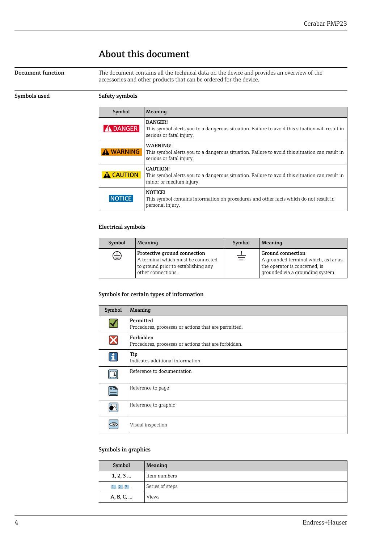## About this document

<span id="page-3-0"></span>**Document function** The document contains all the technical data on the device and provides an overview of the accessories and other products that can be ordered for the device.

### Symbols used Safety symbols

| Symbol           | Meaning                                                                                                                                |  |  |
|------------------|----------------------------------------------------------------------------------------------------------------------------------------|--|--|
| <b>DANGER</b>    | DANGER!<br>This symbol alerts you to a dangerous situation. Failure to avoid this situation will result in<br>serious or fatal injury. |  |  |
| A WARNING        | WARNING!<br>This symbol alerts you to a dangerous situation. Failure to avoid this situation can result in<br>serious or fatal injury. |  |  |
| <b>A CAUTION</b> | CAUTION!<br>This symbol alerts you to a dangerous situation. Failure to avoid this situation can result in<br>minor or medium injury.  |  |  |
| <b>NOTICE</b>    | NOTICE!<br>This symbol contains information on procedures and other facts which do not result in<br>personal injury.                   |  |  |

### Electrical symbols

| Symbol<br>Meaning |                                                                                                                                 | Symbol | Meaning                                                                                                                               |
|-------------------|---------------------------------------------------------------------------------------------------------------------------------|--------|---------------------------------------------------------------------------------------------------------------------------------------|
| ⊜                 | Protective ground connection<br>A terminal which must be connected<br>to ground prior to establishing any<br>other connections. | 吉      | <b>Ground connection</b><br>A grounded terminal which, as far as<br>the operator is concerned, is<br>grounded via a grounding system. |

### Symbols for certain types of information

| Symbol                   | Meaning                                                           |  |  |
|--------------------------|-------------------------------------------------------------------|--|--|
|                          | Permitted<br>Procedures, processes or actions that are permitted. |  |  |
| Х                        | Forbidden<br>Procedures, processes or actions that are forbidden. |  |  |
| $\mathbf{f}$             | Tip<br>Indicates additional information.                          |  |  |
| $\Box$                   | Reference to documentation                                        |  |  |
| $\underline{\mathsf{A}}$ | Reference to page                                                 |  |  |
|                          | Reference to graphic                                              |  |  |
|                          | Visual inspection                                                 |  |  |

### Symbols in graphics

| Symbol   | Meaning         |
|----------|-----------------|
| 1, 2, 3  | Item numbers    |
| 1.72.73  | Series of steps |
| A, B, C, | <b>Views</b>    |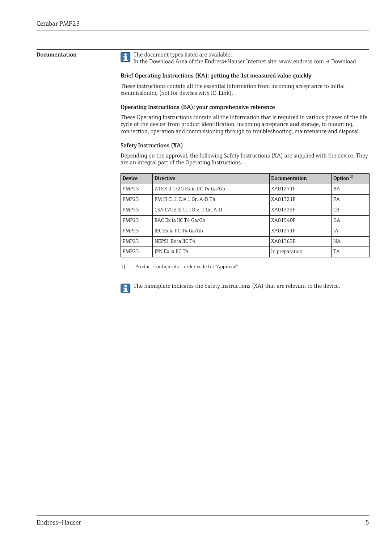<span id="page-4-0"></span>**Documentation** The document types listed are available:

In the Download Area of the Endress+Hauser Internet site: www.endress.com → Download

#### Brief Operating Instructions (KA): getting the 1st measured value quickly

These instructions contain all the essential information from incoming acceptance to initial commissioning (not for devices with IO-Link).

#### Operating Instructions (BA): your comprehensive reference

These Operating Instructions contain all the information that is required in various phases of the life cycle of the device: from product identification, incoming acceptance and storage, to mounting, connection, operation and commissioning through to troubleshooting, maintenance and disposal.

#### Safety Instructions (XA)

Depending on the approval, the following Safety Instructions (XA) are supplied with the device. They are an integral part of the Operating Instructions.

| Device            | <b>Directive</b>                 | Documentation  | Option $1$ |
|-------------------|----------------------------------|----------------|------------|
| PMP <sub>23</sub> | ATEX II 1/2G Ex ia IIC T4 Ga/Gb  | XA01271P       | BA         |
| PMP <sub>23</sub> | FM IS Cl. I, Div.1 Gr. A-D T4    | XA01321P       | FA         |
| PMP <sub>23</sub> | CSA C/US IS Cl. I Div. 1 Gr. A-D | XA01322P       | CB         |
| PMP <sub>23</sub> | EAC Ex ia IIC T4 Ga/Gb           | XA01540P       | GA         |
| PMP <sub>23</sub> | IEC Ex ia IIC T4 Ga/Gb           | XA01271P       | IA         |
| PMP <sub>23</sub> | NEPSI Ex ia IIC T4               | XA01363P       | <b>NA</b>  |
| PMP <sub>23</sub> | IPN Ex ia IIC T4                 | In preparation | <b>TA</b>  |

1) Product Configurator, order code for "Approval"

The nameplate indicates the Safety Instructions (XA) that are relevant to the device. $\mathbf{a}$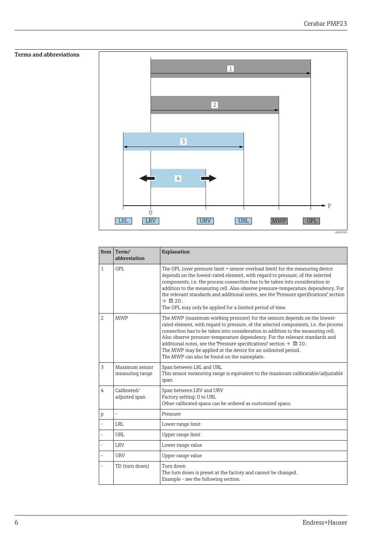p

A0029505

# <span id="page-5-0"></span>Terms and abbreviations 1 2 3 4

LRV URV

 $\overline{O}$ 

Item  $\vert$  Term/ abbreviation Explanation 1  $\vert$  OPL  $\vert$  The OPL (over pressure limit = sensor overload limit) for the measuring device depends on the lowest-rated element, with regard to pressure, of the selected components, i.e. the process connection has to be taken into consideration in addition to the measuring cell. Also observe pressure-temperature dependency. For the relevant standards and additional notes, see the "Pressure specifications" section  $\rightarrow$   $\bigcirc$  20. The OPL may only be applied for a limited period of time. 2 MWP The MWP (maximum working pressure) for the sensors depends on the lowestrated element, with regard to pressure, of the selected components, i.e. the process connection has to be taken into consideration in addition to the measuring cell. Also observe pressure-temperature dependency. For the relevant standards and additional notes, see the "Pressure specifications" section →  $\triangleq$  20. The MWP may be applied at the device for an unlimited period. The MWP can also be found on the nameplate. 3 Maximum sensor measuring range Span between LRL and URL This sensor measuring range is equivalent to the maximum calibratable/adjustable span. 4 Calibrated/ adjusted span Span between LRV and URV Factory setting: 0 to URL Other calibrated spans can be ordered as customized spans.  $p \mid -$  Pressure LRL Lower range limit URL Upper range limit LRV Lower range value URV Upper range value TD (turn down) Turn down The turn down is preset at the factory and cannot be changed. Example - see the following section.

LRL LRV URV URV URL MWP OPL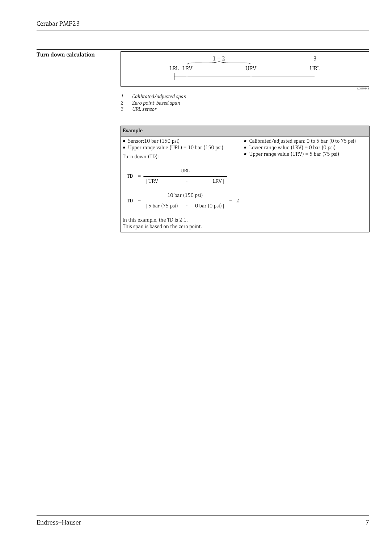### <span id="page-6-0"></span>Turn down calculation



In this example, the TD is 2:1. This span is based on the zero point.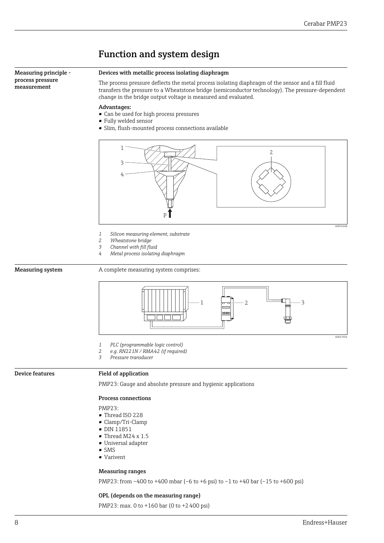<span id="page-7-0"></span>

### Measuring ranges

PMP23: from –400 to +400 mbar (–6 to +6 psi) to –1 to +40 bar (–15 to +600 psi)

#### OPL (depends on the measuring range)

PMP23: max. 0 to +160 bar (0 to +2400 psi)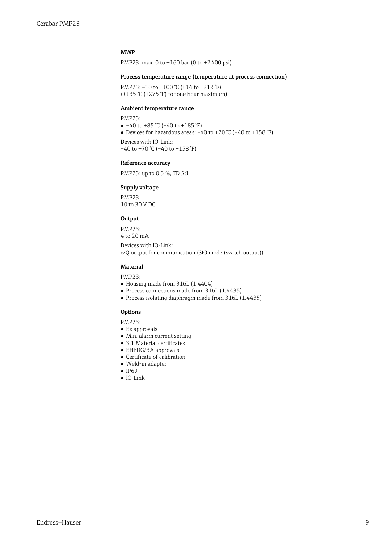#### MWP

PMP23: max. 0 to +160 bar (0 to +2 400 psi)

#### Process temperature range (temperature at process connection)

PMP23: -10 to +100 °C (+14 to +212 °F) (+135 °C (+275 °F) for one hour maximum)

#### Ambient temperature range

PMP23:

- $-40$  to  $+85$  °C (-40 to  $+185$  °F)
- Devices for hazardous areas:  $-40$  to  $+70$  °C ( $-40$  to  $+158$  °F)

Devices with IO-Link:  $-40$  to  $+70$  °C ( $-40$  to  $+158$  °F)

#### Reference accuracy

PMP23: up to 0.3 %, TD 5:1

#### Supply voltage

PMP23: 10 to 30 V DC

#### Output

PMP23: 4 to 20 mA

Devices with IO-Link: c/Q output for communication (SIO mode (switch output))

#### Material

PMP23:

- Housing made from 316L (1.4404)
- Process connections made from 316L (1.4435)
- Process isolating diaphragm made from 316L (1.4435)

#### **Options**

PMP23:

- Ex approvals
- Min. alarm current setting
- $\bullet\,$  3.1 Material certificates
- EHEDG/3A approvals
- Certificate of calibration
- Weld-in adapter
- IP69
- IO-Link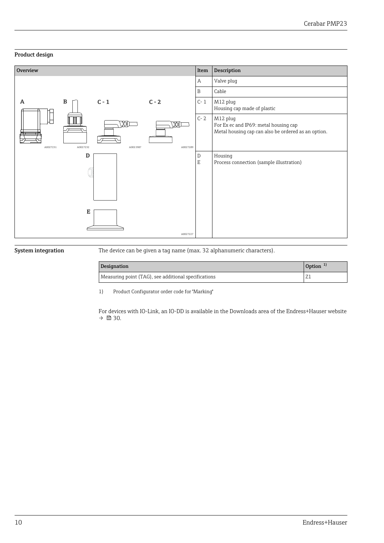### <span id="page-9-0"></span>Product design



System integration The device can be given a tag name (max. 32 alphanumeric characters).

| <b>Designation</b>                                   | Option $\frac{1}{2}$ |  |
|------------------------------------------------------|----------------------|--|
| Measuring point (TAG), see additional specifications | <u>  L</u>           |  |

1) Product Configurator order code for "Marking"

For devices with IO-Link, an IO-DD is available in the Downloads area of the Endress+Hauser website  $\rightarrow$   $\blacksquare$  30.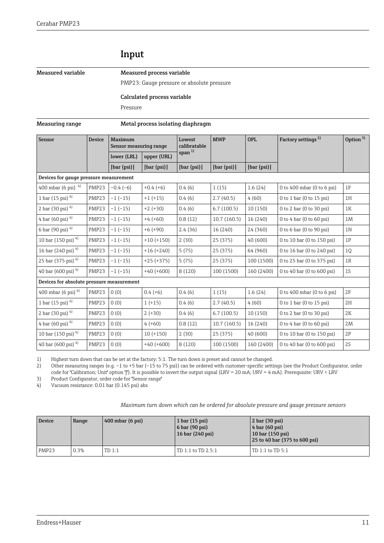## Input

#### <span id="page-10-0"></span>Measured variable Measured process variable

PMP23: Gauge pressure or absolute pressure

#### Calculated process variable

Pressure

#### Measuring range Metal process isolating diaphragm

| Sensor                                    | <b>Device</b>                          | Maximum<br>Sensor measuring range |              | Lowest<br>calibratable | <b>MWP</b>  | <b>OPL</b>  | Factory settings <sup>2)</sup>    | Option $3)$    |
|-------------------------------------------|----------------------------------------|-----------------------------------|--------------|------------------------|-------------|-------------|-----------------------------------|----------------|
|                                           |                                        | lower (LRL)                       | upper (URL)  | span $^{1)}$           |             |             |                                   |                |
|                                           |                                        | [bar (psi)]                       | [bar (psi)]  | [bar (psi)]            | [bar (psi)] | [bar (psi)] |                                   |                |
|                                           | Devices for gauge pressure measurement |                                   |              |                        |             |             |                                   |                |
| 400 mbar (6 psi) $4$ )                    | PMP23                                  | $-0.4(-6)$                        | $+0.4(+6)$   | 0.4(6)                 | 1(15)       | 1.6(24)     | 0 to 400 mbar (0 to 6 psi)        | 1F             |
| 1 bar (15 psi) $4$                        | PMP23                                  | $-1(-15)$                         | $+1 (+15)$   | 0.4(6)                 | 2.7(40.5)   | 4(60)       | 0 to 1 bar (0 to 15 psi)          | 1H             |
| 2 bar (30 psi) $4$ )                      | PMP23                                  | $-1(-15)$                         | $+2 (+30)$   | 0.4(6)                 | 6.7(100.5)  | 10(150)     | $0$ to $2$ bar ( $0$ to $30$ psi) | 1K             |
| 4 bar (60 psi) $4$ )                      | PMP23                                  | $-1(-15)$                         | $+4 (+60)$   | 0.8(12)                | 10.7(160.5) | 16 (240)    | 0 to 4 bar (0 to 60 psi)          | 1M             |
| 6 bar (90 psi) $4$ )                      | PMP23                                  | $-1(-15)$                         | $+6 (+90)$   | 2.4(36)                | 16 (240)    | 24 (360)    | 0 to 6 bar (0 to 90 psi)          | 1 <sub>N</sub> |
| 10 bar (150 psi) $4$                      | PMP23                                  | $-1(-15)$                         | $+10 (+150)$ | 2(30)                  | 25 (375)    | 40 (600)    | 0 to 10 bar (0 to 150 psi)        | 1P             |
| 16 bar (240 psi) <sup>4)</sup>            | PMP23                                  | $-1(-15)$                         | $+16 (+240)$ | 5(75)                  | 25 (375)    | 64 (960)    | 0 to 16 bar (0 to 240 psi)        | 1Q             |
| 25 bar (375 psi) <sup>4)</sup>            | PMP23                                  | $-1(-15)$                         | $+25 (+375)$ | 5(75)                  | 25 (375)    | 100 (1500)  | 0 to 25 bar (0 to 375 psi)        | 1R             |
| 40 bar (600 psi) $4)$                     | PMP23                                  | $-1(-15)$                         | $+40 (+600)$ | 8 (120)                | 100 (1500)  | 160 (2400)  | 0 to 40 bar (0 to 600 psi)        | 1S             |
| Devices for absolute pressure measurement |                                        |                                   |              |                        |             |             |                                   |                |
| 400 mbar (6 psi) $4)$                     | PMP <sub>23</sub>                      | (0)                               | $0.4(+6)$    | 0.4(6)                 | 1(15)       | 1.6(24)     | 0 to 400 mbar (0 to 6 psi)        | 2F             |
| $1$ bar (15 psi) <sup>4)</sup>            | PMP23                                  | 0(0)                              | $1 (+15)$    | 0.4(6)                 | 2.7(40.5)   | 4(60)       | 0 to 1 bar (0 to 15 psi)          | 2H             |
| 2 bar (30 psi) $4$ )                      | PMP23                                  | 0(0)                              | $2 (+30)$    | 0.4(6)                 | 6.7(100.5)  | 10 (150)    | 0 to 2 bar (0 to 30 psi)          | 2K             |
| 4 bar (60 psi) $4$ )                      | PMP23                                  | 0(0)                              | $4(+60)$     | 0.8(12)                | 10.7(160.5) | 16 (240)    | 0 to 4 bar (0 to 60 psi)          | 2M             |
| 10 bar (150 psi) <sup>4)</sup>            | PMP23                                  | 0(0)                              | $10 (+150)$  | 2(30)                  | 25 (375)    | 40(600)     | 0 to 10 bar (0 to 150 psi)        | 2P             |
| 40 bar (600 psi) $4)$                     | PMP23                                  | 0(0)                              | $+40 (+600)$ | 8(120)                 | 100 (1500)  | 160 (2400)  | 0 to 40 bar (0 to 600 psi)        | 2S             |

1) Highest turn down that can be set at the factory: 5:1. The turn down is preset and cannot be changed.

2) Other measuring ranges (e.g. –1 to +5 bar (–15 to 75 psi)) can be ordered with customer-specific settings (see the Product Configurator, order

code for "Calibration; Unit" option "J"). It is possible to invert the output signal (LRV = 20 mA; URV = 4 mA). Prerequisite: URV < LRV

3) Product Configurator, order code for "Sensor range"

4) Vacuum resistance: 0.01 bar (0.145 psi) abs

### *Maximum turn down which can be ordered for absolute pressure and gauge pressure sensors*

| <b>Device</b>     | Range   | $\left(400 \text{ mbar} \ (6 \text{ psi})\right)$ | $1$ bar $(15$ psi)<br>$\vert$ 6 bar (90 psi)<br>16 bar (240 psi) | $\vert$ 2 bar (30 psi)<br>$\vert$ 4 bar (60 psi)<br>$\vert$ 10 bar (150 psi)<br>25 to 40 bar (375 to 600 psi) |
|-------------------|---------|---------------------------------------------------|------------------------------------------------------------------|---------------------------------------------------------------------------------------------------------------|
| PMP <sub>23</sub> | $0.3\%$ | TD 1:1                                            | TD 1:1 to TD 2.5:1                                               | TD $1:1$ to TD $5:1$                                                                                          |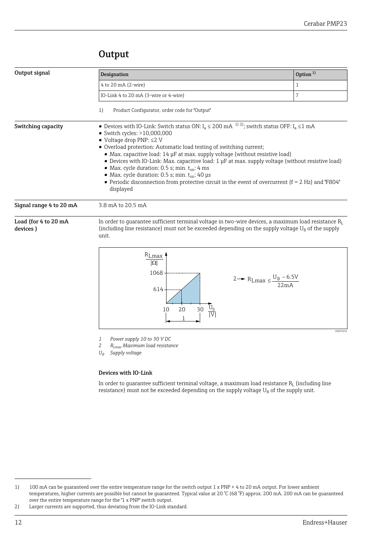## **Output**

<span id="page-11-0"></span>

| Output signal                                                                                                                                                                                                                                               | Designation                                                                                                                                                                                                                                                                                                                                                                                                                                                                                                                                                                                                                                                                                             | Option <sup>1)</sup> |  |
|-------------------------------------------------------------------------------------------------------------------------------------------------------------------------------------------------------------------------------------------------------------|---------------------------------------------------------------------------------------------------------------------------------------------------------------------------------------------------------------------------------------------------------------------------------------------------------------------------------------------------------------------------------------------------------------------------------------------------------------------------------------------------------------------------------------------------------------------------------------------------------------------------------------------------------------------------------------------------------|----------------------|--|
|                                                                                                                                                                                                                                                             | 4 to 20 mA (2-wire)                                                                                                                                                                                                                                                                                                                                                                                                                                                                                                                                                                                                                                                                                     | 1                    |  |
|                                                                                                                                                                                                                                                             | IO-Link 4 to 20 mA (3-wire or 4-wire)                                                                                                                                                                                                                                                                                                                                                                                                                                                                                                                                                                                                                                                                   | 7                    |  |
|                                                                                                                                                                                                                                                             | Product Configurator, order code for "Output"<br>1)                                                                                                                                                                                                                                                                                                                                                                                                                                                                                                                                                                                                                                                     |                      |  |
| Switching capacity                                                                                                                                                                                                                                          | ■ Devices with IO-Link: Switch status ON: $I_a \le 200$ mA <sup>1) 2)</sup> ; switch status OFF: $I_a \le 1$ mA<br>$\bullet$ Switch cycles: $>10,000,000$<br>$\bullet$ Voltage drop PNP: $\leq$ 2 V<br>• Overload protection: Automatic load testing of switching current;<br>• Max. capacitive load: $14 \mu$ F at max. supply voltage (without resistive load)<br>Devices with IO-Link: Max. capacitive load: 1 µF at max. supply voltage (without resistive load)<br>• Max. cycle duration: 0.5 s; min. $t_{on}$ : 4 ms<br>• Max. cycle duration: 0.5 s; min. $t_{on}$ : 40 µs<br>• Periodic disconnection from protective circuit in the event of overcurrent ( $f = 2$ Hz) and "F804"<br>displayed |                      |  |
| Signal range 4 to 20 mA                                                                                                                                                                                                                                     | 3.8 mA to 20.5 mA                                                                                                                                                                                                                                                                                                                                                                                                                                                                                                                                                                                                                                                                                       |                      |  |
| Load (for 4 to 20 mA<br>In order to quarantee sufficient terminal voltage in two-wire devices, a maximum load resistance $R_L$<br>(including line resistance) must not be exceeded depending on the supply voltage $U_B$ of the supply<br>devices)<br>unit. |                                                                                                                                                                                                                                                                                                                                                                                                                                                                                                                                                                                                                                                                                                         |                      |  |
|                                                                                                                                                                                                                                                             | $R_{I \text{ max}}$                                                                                                                                                                                                                                                                                                                                                                                                                                                                                                                                                                                                                                                                                     |                      |  |



*1 Power supply 10 to 30 V DC*

- *2 RLmax Maximum load resistance*
- *U<sup>B</sup> Supply voltage*

#### Devices with IO-Link

In order to guarantee sufficient terminal voltage, a maximum load resistance  $\rm R_{L}$  (including line resistance) must not be exceeded depending on the supply voltage  $U_B$  of the supply unit.

A0029452

<sup>1) 100</sup> mA can be guaranteed over the entire temperature range for the switch output 1 x PNP + 4 to 20 mA output. For lower ambient temperatures, higher currents are possible but cannot be guaranteed. Typical value at 20 °C (68 °F) approx. 200 mA. 200 mA can be guaranteed over the entire temperature range for the "1 x PNP" switch output.

<sup>2)</sup> Larger currents are supported, thus deviating from the IO-Link standard.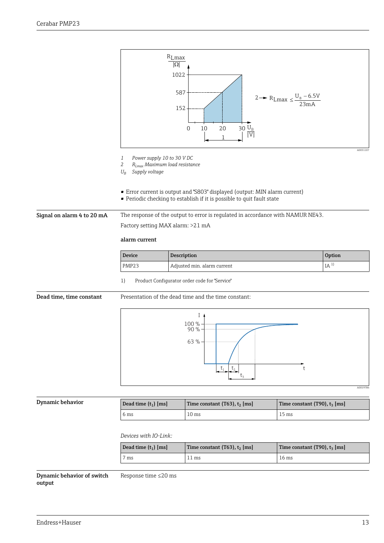<span id="page-12-0"></span>

| Dynamic behavior | Dead time $(t_1)$ [ms] | Time constant $(T63)$ , $t_2$ [ms] | Time constant (T90), $t_3$ [ms] |
|------------------|------------------------|------------------------------------|---------------------------------|
|                  | 6 ms                   | 10 <sub>ms</sub>                   | 15 <sub>ms</sub>                |

*Devices with IO-Link:*

| Dead time $(t_1)$ [ms] | Time constant $(T63)$ , $t_2$ [ms] | Time constant (T90), $t_3$ [ms] |
|------------------------|------------------------------------|---------------------------------|
| ms                     | 11 ms                              | 16 ms                           |

 $\ddot{\phantom{1}}$ 

Dynamic behavior of switch output Response time ≤20 ms A0019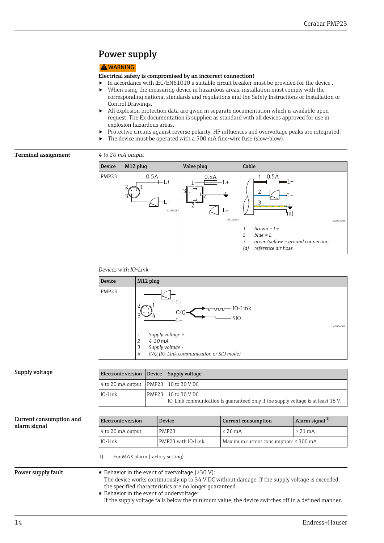## <span id="page-13-0"></span>Power supply

### **A**WARNING

#### Electrical safety is compromised by an incorrect connection!

- $\triangleright$  In accordance with IEC/EN61010 a suitable circuit breaker must be provided for the device .
- $\triangleright$  When using the measuring device in hazardous areas, installation must comply with the corresponding national standards and regulations and the Safety Instructions or Installation or Control Drawings.
- $\blacktriangleright$  All explosion protection data are given in separate documentation which is available upon request. The Ex documentation is supplied as standard with all devices approved for use in explosion hazardous areas.
- ‣ Protective circuits against reverse polarity, HF influences and overvoltage peaks are integrated.
- ▶ The device must be operated with a 500 mA fine-wire fuse (slow-blow).

### Terminal assignment *4 to 20 mA output*



#### *Devices with IO-Link*



| Supply voltage | Electronic version Device Supply voltage    |                                                                                                           |
|----------------|---------------------------------------------|-----------------------------------------------------------------------------------------------------------|
|                | $4$ to 20 mA output   PMP23   10 to 30 V DC |                                                                                                           |
|                | IO-Link                                     | PMP23   10 to 30 V DC<br>IO-Link communication is quaranteed only if the supply voltage is at least 18 V. |

| Current consumption and | <b>Electronic version</b>                                                                           | <b>Device</b>                                      | <b>Current consumption</b>                                                                        | Alarm signal <sup>1)</sup> |
|-------------------------|-----------------------------------------------------------------------------------------------------|----------------------------------------------------|---------------------------------------------------------------------------------------------------|----------------------------|
| alarm signal            | 4 to 20 mA output                                                                                   | <b>PMP23</b>                                       | $<$ 2.6 mA                                                                                        | $> 21 \text{ mA}$          |
|                         | IO-Link                                                                                             | PMP23 with IO-Link                                 | Maximum current consumption: $\leq 300$ mA                                                        |                            |
| Power supply fault      | For MAX alarm (factory setting)<br>1)                                                               | ■ Behavior in the event of overvoltage $($ >30 V): | The device works continuously up to 34 V DC without damage. If the supply voltage is exceeded,    |                            |
|                         | the specified characteristics are no longer quaranteed.<br>■ Behavior in the event of undervoltage: |                                                    |                                                                                                   |                            |
|                         |                                                                                                     |                                                    | If the supply voltage falls below the minimum value, the device switches off in a defined manner. |                            |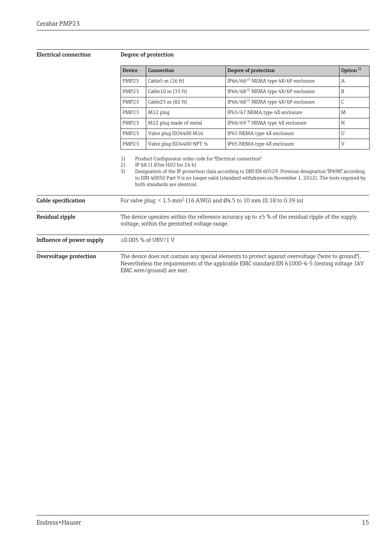### <span id="page-14-0"></span>Electrical connection Degree of protection

| Device            | Connection                   | Degree of protection                            | Option $1$ |
|-------------------|------------------------------|-------------------------------------------------|------------|
| PMP <sub>23</sub> | Cable $5 \text{ m}$ (16 ft)  | IP66/68 <sup>2)</sup> NEMA type 4X/6P enclosure | A          |
| PMP <sub>23</sub> | Cable $10 \text{ m}$ (33 ft) | IP66/68 <sup>2)</sup> NEMA type 4X/6P enclosure | B          |
| PMP <sub>23</sub> | Cable $25 \text{ m}$ (82 ft) | IP66/68 <sup>2)</sup> NEMA type 4X/6P enclosure | C          |
| PMP <sub>23</sub> | M12 plug                     | IP65/67 NEMA type 4X enclosure                  | M          |
| PMP23             | M12 plug made of metal       | IP66/69 <sup>3)</sup> NEMA type 4X enclosure    | N          |
| PMP <sub>23</sub> | Valve plug ISO4400 M16       | IP65 NEMA type 4X enclosure                     | U          |
| PMP <sub>23</sub> | Valve plug ISO4400 NPT 1/2   | IP65 NEMA type 4X enclosure                     | V          |

1) Product Configurator order code for "Electrical connection"<br>2) IP 68 (1.83m H2O for 24 h)

2) IP 68 (1.83m H2O for 24 h)

3) Designation of the IP protection class according to DIN EN 60529. Previous designation "IP69K" according to DIN 40050 Part 9 is no longer valid (standard withdrawn on November 1, 2012). The tests required by both standards are identical.

| Cable specification       | For valve plug: < 1.5 mm <sup>2</sup> (16 AWG) and Ø4.5 to 10 mm (0.18 to 0.39 in)                                                                                                                                                 |
|---------------------------|------------------------------------------------------------------------------------------------------------------------------------------------------------------------------------------------------------------------------------|
| Residual ripple           | The device operates within the reference accuracy up to $\pm 5$ % of the residual ripple of the supply<br>voltage, within the permitted voltage range.                                                                             |
| Influence of power supply | ≤0.005 % of URV/1 V                                                                                                                                                                                                                |
| Overvoltage protection    | The device does not contain any special elements to protect against overvoltage ("wire to ground").<br>Nevertheless the requirements of the applicable EMC standard EN 61000-4-5 (testing voltage 1kV<br>EMC wire/ground) are met. |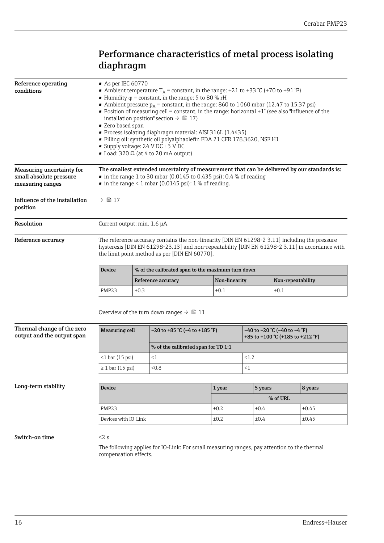## Performance characteristics of metal process isolating diaphragm

<span id="page-15-0"></span>

| Reference operating<br>conditions                                               | As per IEC 60770<br>• Ambient temperature $T_A$ = constant, in the range: +21 to +33 °C (+70 to +91 °F)<br>• Humidity $\varphi$ = constant, in the range: 5 to 80 % rH<br>• Ambient pressure $p_A$ = constant, in the range: 860 to 1060 mbar (12.47 to 15.37 psi)<br>• Position of measuring cell = constant, in the range: horizontal $\pm 1^{\circ}$ (see also "Influence of the<br>installation position" section $\rightarrow \Box$ 17)<br>Zero based span<br>Process isolating diaphragm material: AISI 316L (1.4435)<br>Filling oil: synthetic oil polyalphaolefin FDA 21 CFR 178.3620, NSF H1 |                                                   |                                                                                     |      |               |                                                                           |                   |         |
|---------------------------------------------------------------------------------|-------------------------------------------------------------------------------------------------------------------------------------------------------------------------------------------------------------------------------------------------------------------------------------------------------------------------------------------------------------------------------------------------------------------------------------------------------------------------------------------------------------------------------------------------------------------------------------------------------|---------------------------------------------------|-------------------------------------------------------------------------------------|------|---------------|---------------------------------------------------------------------------|-------------------|---------|
|                                                                                 |                                                                                                                                                                                                                                                                                                                                                                                                                                                                                                                                                                                                       |                                                   | Supply voltage: $24$ V DC $\pm 3$ V DC<br>Load: $320 \Omega$ (at 4 to 20 mA output) |      |               |                                                                           |                   |         |
| <b>Measuring uncertainty for</b><br>small absolute pressure<br>measuring ranges | The smallest extended uncertainty of measurement that can be delivered by our standards is:<br>$\bullet$ in the range 1 to 30 mbar (0.0145 to 0.435 psi): 0.4 % of reading<br>$\bullet$ in the range < 1 mbar (0.0145 psi): 1 % of reading.                                                                                                                                                                                                                                                                                                                                                           |                                                   |                                                                                     |      |               |                                                                           |                   |         |
| Influence of the installation<br>position                                       | $\rightarrow$ $\blacksquare$ 17                                                                                                                                                                                                                                                                                                                                                                                                                                                                                                                                                                       |                                                   |                                                                                     |      |               |                                                                           |                   |         |
| Resolution                                                                      | Current output: min. 1.6 µA                                                                                                                                                                                                                                                                                                                                                                                                                                                                                                                                                                           |                                                   |                                                                                     |      |               |                                                                           |                   |         |
| Reference accuracy                                                              | The reference accuracy contains the non-linearity [DIN EN 61298-2 3.11] including the pressure<br>hysteresis [DIN EN 61298-23.13] and non-repeatability [DIN EN 61298-2 3.11] in accordance with<br>the limit point method as per [DIN EN 60770].                                                                                                                                                                                                                                                                                                                                                     |                                                   |                                                                                     |      |               |                                                                           |                   |         |
|                                                                                 | Device                                                                                                                                                                                                                                                                                                                                                                                                                                                                                                                                                                                                | % of the calibrated span to the maximum turn down |                                                                                     |      |               |                                                                           |                   |         |
|                                                                                 |                                                                                                                                                                                                                                                                                                                                                                                                                                                                                                                                                                                                       |                                                   | Reference accuracy                                                                  |      | Non-linearity |                                                                           | Non-repeatability |         |
|                                                                                 | PMP23                                                                                                                                                                                                                                                                                                                                                                                                                                                                                                                                                                                                 | ±0.3                                              | ±0.1<br>±0.1                                                                        |      |               |                                                                           |                   |         |
|                                                                                 | Overview of the turn down ranges $\rightarrow \Box$ 11                                                                                                                                                                                                                                                                                                                                                                                                                                                                                                                                                |                                                   |                                                                                     |      |               |                                                                           |                   |         |
| Thermal change of the zero<br>output and the output span                        | <b>Measuring cell</b>                                                                                                                                                                                                                                                                                                                                                                                                                                                                                                                                                                                 |                                                   | -20 to +85 °C (-4 to +185 °F)                                                       |      |               | $-40$ to $-20$ °C ( $-40$ to $-4$ °F)<br>+85 to +100 °C (+185 to +212 °F) |                   |         |
|                                                                                 |                                                                                                                                                                                                                                                                                                                                                                                                                                                                                                                                                                                                       |                                                   | % of the calibrated span for TD 1:1                                                 |      |               |                                                                           |                   |         |
|                                                                                 | $<$ 1 bar (15 psi)                                                                                                                                                                                                                                                                                                                                                                                                                                                                                                                                                                                    |                                                   | <1                                                                                  |      |               | < 1.2                                                                     |                   |         |
|                                                                                 | $\geq 1$ bar (15 psi)                                                                                                                                                                                                                                                                                                                                                                                                                                                                                                                                                                                 |                                                   | 0.8<                                                                                |      |               | $\leq$ 1                                                                  |                   |         |
| Long-term stability                                                             | Device                                                                                                                                                                                                                                                                                                                                                                                                                                                                                                                                                                                                |                                                   |                                                                                     |      | 1 year        | 5 years                                                                   |                   | 8 years |
|                                                                                 |                                                                                                                                                                                                                                                                                                                                                                                                                                                                                                                                                                                                       |                                                   |                                                                                     |      | % of URL      |                                                                           |                   |         |
|                                                                                 | PMP23                                                                                                                                                                                                                                                                                                                                                                                                                                                                                                                                                                                                 |                                                   |                                                                                     | ±0.2 |               | ±0.4                                                                      |                   | ±0.45   |
|                                                                                 | Devices with IO-Link                                                                                                                                                                                                                                                                                                                                                                                                                                                                                                                                                                                  |                                                   |                                                                                     | ±0.2 |               | ±0.4                                                                      |                   | ±0.45   |
| Switch-on time                                                                  | $\leq$ 2 s<br>The following applies for IO-Link: For small measuring ranges, pay attention to the thermal                                                                                                                                                                                                                                                                                                                                                                                                                                                                                             |                                                   |                                                                                     |      |               |                                                                           |                   |         |

compensation effects.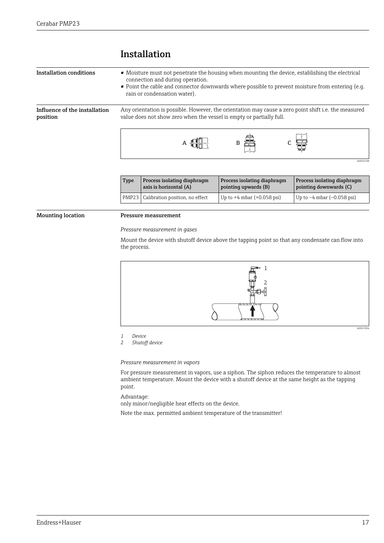<span id="page-16-0"></span>

| Installation conditions                   | • Moisture must not penetrate the housing when mounting the device, establishing the electrical<br>connection and during operation.<br>• Point the cable and connector downwards where possible to prevent moisture from entering (e.g.<br>rain or condensation water). |  |  |  |  |
|-------------------------------------------|-------------------------------------------------------------------------------------------------------------------------------------------------------------------------------------------------------------------------------------------------------------------------|--|--|--|--|
| Influence of the installation<br>position | Any orientation is possible. However, the orientation may cause a zero point shift i.e. the measured<br>value does not show zero when the vessel is empty or partially full.                                                                                            |  |  |  |  |
|                                           |                                                                                                                                                                                                                                                                         |  |  |  |  |

### Installation

| <b>Type</b> | Process isolating diaphragm<br>axis is horizontal (A) | Process isolating diaphragm<br>pointing upwards (B) | Process isolating diaphragm<br>pointing downwards (C) |
|-------------|-------------------------------------------------------|-----------------------------------------------------|-------------------------------------------------------|
|             | PMP23   Calibration position, no effect               | Up to $+4$ mbar $(+0.058$ psi)                      | Up to $-4$ mbar $(-0.058 \text{ psi})$                |

#### Mounting location Pressure measurement

*Pressure measurement in gases*

Mount the device with shutoff device above the tapping point so that any condensate can flow into the process.



*1 Device*

*2 Shutoff device*

*Pressure measurement in vapors*

For pressure measurement in vapors, use a siphon. The siphon reduces the temperature to almost ambient temperature. Mount the device with a shutoff device at the same height as the tapping point.

Advantage:

only minor/negligible heat effects on the device.

Note the max. permitted ambient temperature of the transmitter!

A0024708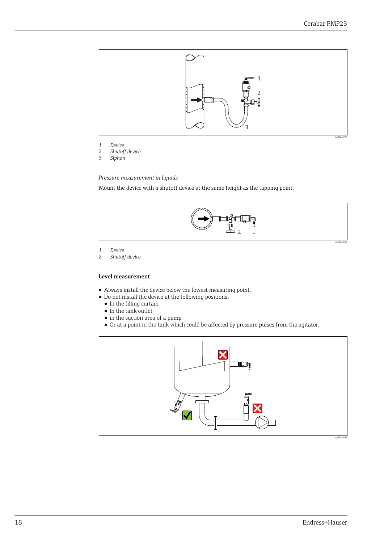

- *1 Device*
- *2 Shutoff device*
- *3 Siphon*

*Pressure measurement in liquids*

Mount the device with a shutoff device at the same height as the tapping point.



*1 Device*

*2 Shutoff device*

#### Level measurement

- Always install the device below the lowest measuring point.
- Do not install the device at the following positions:
	- In the filling curtain
	- In the tank outlet
	- in the suction area of a pump
	- Or at a point in the tank which could be affected by pressure pulses from the agitator.

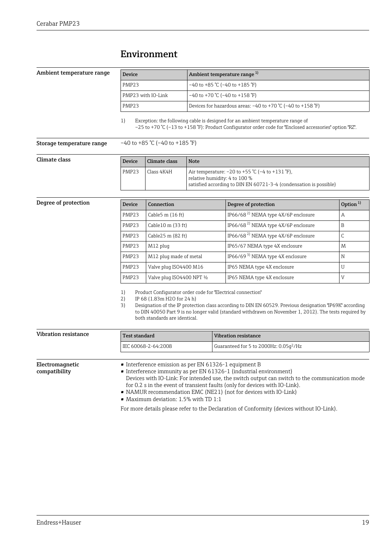### Environment

#### <span id="page-18-0"></span>Ambient temperature range

| Device             | Ambient temperature range <sup>1)</sup>                              |  |
|--------------------|----------------------------------------------------------------------|--|
| PMP <sub>23</sub>  | -40 to +85 °C (-40 to +185 °F)                                       |  |
| PMP23 with IO-Link | $-40$ to +70 °C (-40 to +158 °F)                                     |  |
| PMP <sub>23</sub>  | Devices for hazardous areas: $-40$ to $+70$ °C ( $-40$ to $+158$ °F) |  |

1) Exception: the following cable is designed for an ambient temperature range of –25 to +70 °C (–13 to +158 °F): Product Configurator order code for "Enclosed accessories" option "RZ".

**Storage temperature range**  $-40$  to  $+85$  °C ( $-40$  to  $+185$  °F)

| Climate class | Device            | Climate class | <b>Note</b>                                                                                                                                            |
|---------------|-------------------|---------------|--------------------------------------------------------------------------------------------------------------------------------------------------------|
|               | PMP <sub>23</sub> | Class 4K4H    | Air temperature: −20 to +55 °C (−4 to +131 °F),<br>relative humidity: 4 to 100 %<br>satisfied according to DIN EN 60721-3-4 (condensation is possible) |

| Degree of protection | <b>Device</b>     | Connection                  | Degree of protection                            | Option $1$ |
|----------------------|-------------------|-----------------------------|-------------------------------------------------|------------|
|                      | PMP23             | Cable $5 \text{ m}$ (16 ft) | IP66/68 <sup>2)</sup> NEMA type 4X/6P enclosure | А          |
|                      | PMP <sub>23</sub> | Cable 10 m (33 ft)          | IP66/68 <sup>2)</sup> NEMA type 4X/6P enclosure | B          |
|                      | PMP <sub>23</sub> | Cable25 m (82 ft)           | IP66/68 <sup>2)</sup> NEMA type 4X/6P enclosure | C          |
|                      | PMP <sub>23</sub> | M12 plug                    | IP65/67 NEMA type 4X enclosure                  | M          |
|                      | PMP <sub>23</sub> | M12 plug made of metal      | IP66/69 <sup>3)</sup> NEMA type $4X$ enclosure  | N          |
|                      | PMP <sub>23</sub> | Valve plug ISO4400 M16      | IP65 NEMA type 4X enclosure                     | U          |
|                      | PMP23             | Valve plug ISO4400 NPT 1/2  | IP65 NEMA type 4X enclosure                     | V          |

1) Product Configurator order code for "Electrical connection"

2) IP 68 (1.83m H2O for 24 h)<br>3) Designation of the IP protect 3) Designation of the IP protection class according to DIN EN 60529. Previous designation "IP69K" according to DIN 40050 Part 9 is no longer valid (standard withdrawn on November 1, 2012). The tests required by both standards are identical.

| Vibration resistance             | <b>Test standard</b>                                                                                                                                                                                                                                                                                                                                                                                                         | <b>Vibration resistance</b>                        |  |  |
|----------------------------------|------------------------------------------------------------------------------------------------------------------------------------------------------------------------------------------------------------------------------------------------------------------------------------------------------------------------------------------------------------------------------------------------------------------------------|----------------------------------------------------|--|--|
|                                  | IEC 60068-2-64:2008                                                                                                                                                                                                                                                                                                                                                                                                          | Guaranteed for 5 to 2000Hz: 0.05q <sup>2</sup> /Hz |  |  |
|                                  |                                                                                                                                                                                                                                                                                                                                                                                                                              |                                                    |  |  |
| Electromagnetic<br>compatibility | • Interference emission as per EN 61326-1 equipment B<br>• Interference immunity as per EN 61326-1 (industrial environment)<br>Devices with IO-Link: For intended use, the switch output can switch to the communication mode<br>for 0.2 s in the event of transient faults (only for devices with IO-Link).<br>• NAMUR recommendation EMC (NE21) (not for devices with IO-Link)<br>• Maximum deviation: $1.5\%$ with TD 1:1 |                                                    |  |  |

For more details please refer to the Declaration of Conformity (devices without IO-Link).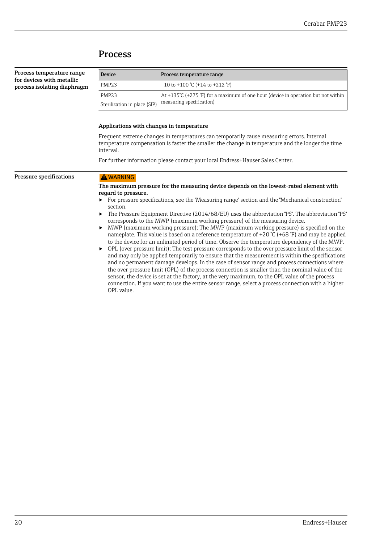## Process

<span id="page-19-0"></span>

| Process temperature range<br>for devices with metallic                                                                                                                                                                                                               | <b>Device</b>                                                                                                 | Process temperature range                                                                                                                                                                                                                                                                                                                                                                                                                                                                                                                                                                                                                                                                                                                                                                                                                                                                                                                                                                                                                                                                                            |  |  |  |
|----------------------------------------------------------------------------------------------------------------------------------------------------------------------------------------------------------------------------------------------------------------------|---------------------------------------------------------------------------------------------------------------|----------------------------------------------------------------------------------------------------------------------------------------------------------------------------------------------------------------------------------------------------------------------------------------------------------------------------------------------------------------------------------------------------------------------------------------------------------------------------------------------------------------------------------------------------------------------------------------------------------------------------------------------------------------------------------------------------------------------------------------------------------------------------------------------------------------------------------------------------------------------------------------------------------------------------------------------------------------------------------------------------------------------------------------------------------------------------------------------------------------------|--|--|--|
| process isolating diaphragm                                                                                                                                                                                                                                          | PMP23                                                                                                         | $-10$ to $+100$ °C ( $+14$ to $+212$ °F)                                                                                                                                                                                                                                                                                                                                                                                                                                                                                                                                                                                                                                                                                                                                                                                                                                                                                                                                                                                                                                                                             |  |  |  |
|                                                                                                                                                                                                                                                                      | PMP <sub>23</sub><br>Sterilization in place (SIP)                                                             | At +135°C (+275°F) for a maximum of one hour (device in operation but not within<br>measuring specification)                                                                                                                                                                                                                                                                                                                                                                                                                                                                                                                                                                                                                                                                                                                                                                                                                                                                                                                                                                                                         |  |  |  |
|                                                                                                                                                                                                                                                                      | Applications with changes in temperature                                                                      | Frequent extreme changes in temperatures can temporarily cause measuring errors. Internal                                                                                                                                                                                                                                                                                                                                                                                                                                                                                                                                                                                                                                                                                                                                                                                                                                                                                                                                                                                                                            |  |  |  |
|                                                                                                                                                                                                                                                                      | temperature compensation is faster the smaller the change in temperature and the longer the time<br>interval. |                                                                                                                                                                                                                                                                                                                                                                                                                                                                                                                                                                                                                                                                                                                                                                                                                                                                                                                                                                                                                                                                                                                      |  |  |  |
|                                                                                                                                                                                                                                                                      |                                                                                                               | For further information please contact your local Endress+Hauser Sales Center.                                                                                                                                                                                                                                                                                                                                                                                                                                                                                                                                                                                                                                                                                                                                                                                                                                                                                                                                                                                                                                       |  |  |  |
| <b>Pressure specifications</b><br>A WARNING<br>The maximum pressure for the measuring device depends on the lowest-rated element with<br>regard to pressure.<br>section.<br>corresponds to the MWP (maximum working pressure) of the measuring device.<br>OPL value. |                                                                                                               | ► For pressure specifications, see the "Measuring range" section and the "Mechanical construction"<br>The Pressure Equipment Directive (2014/68/EU) uses the abbreviation "PS". The abbreviation "PS"<br>MWP (maximum working pressure): The MWP (maximum working pressure) is specified on the<br>nameplate. This value is based on a reference temperature of +20 ℃ (+68 °F) and may be applied<br>to the device for an unlimited period of time. Observe the temperature dependency of the MWP.<br>OPL (over pressure limit): The test pressure corresponds to the over pressure limit of the sensor<br>and may only be applied temporarily to ensure that the measurement is within the specifications<br>and no permanent damage develops. In the case of sensor range and process connections where<br>the over pressure limit (OPL) of the process connection is smaller than the nominal value of the<br>sensor, the device is set at the factory, at the very maximum, to the OPL value of the process<br>connection. If you want to use the entire sensor range, select a process connection with a higher |  |  |  |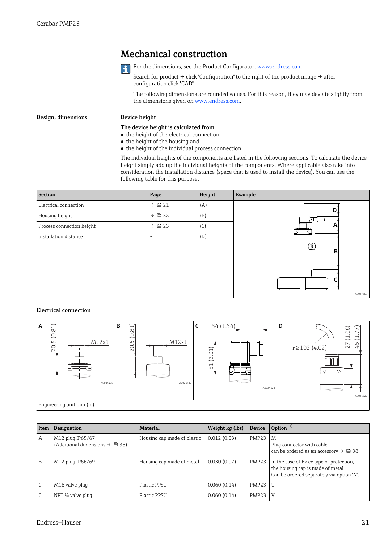### Mechanical construction



For the dimensions, see the Product Configurator: www.endress.com

Search for product  $\rightarrow$  click "Configuration" to the right of the product image  $\rightarrow$  after configuration click "CAD"

The following dimensions are rounded values. For this reason, they may deviate slightly from the dimensions given on www.endress.com.

#### <span id="page-20-0"></span>Design, dimensions Device height

### The device height is calculated from

- the height of the electrical connection
- the height of the housing and
- the height of the individual process connection.

The individual heights of the components are listed in the following sections. To calculate the device height simply add up the individual heights of the components. Where applicable also take into consideration the installation distance (space that is used to install the device). You can use the following table for this purpose:

| Section                   | Page             | Height | Example  |
|---------------------------|------------------|--------|----------|
| Electrical connection     | $\rightarrow$ 21 | (A)    |          |
| Housing height            | $\rightarrow$ 22 | (B)    | W        |
| Process connection height | $\rightarrow$ 23 | (C)    | A        |
| Installation distance     | -                | (D)    |          |
|                           |                  |        | ى).<br>B |
|                           |                  |        |          |
|                           |                  |        |          |
|                           |                  |        |          |
|                           |                  |        | A0027268 |
|                           |                  |        |          |

#### Electrical connection



| Item | Designation                                                                 | Material                    | Weight kg (lbs) | Device         | Option $1$                                                                                                                 |
|------|-----------------------------------------------------------------------------|-----------------------------|-----------------|----------------|----------------------------------------------------------------------------------------------------------------------------|
| Α    | M12 plug IP65/67<br>(Additional dimensions $\rightarrow$ $\blacksquare$ 38) | Housing cap made of plastic | 0.012(0.03)     | PMP23          | M<br>Plug connector with cable<br>can be ordered as an accessory $\rightarrow \Box$ 38                                     |
| B    | M12 plug IP66/69                                                            | Housing cap made of metal   | 0.030(0.07)     | PMP23          | In the case of Ex ec type of protection,<br>the housing cap is made of metal.<br>Can be ordered separately via option "N". |
|      | M16 valve plug                                                              | Plastic PPSU                | 0.060(0.14)     | <b>PMP23 U</b> |                                                                                                                            |
|      | NPT $\frac{1}{2}$ valve plug                                                | Plastic PPSU                | 0.060(0.14)     | PMP23          | V                                                                                                                          |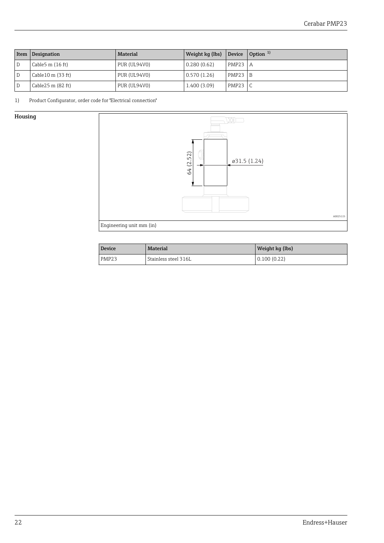<span id="page-21-0"></span>

| Item $ $ | Designation                  | Material     | Weight $kq$ (lbs) Device |              | $\sqrt{ }$ Option $\sqrt{ }$ |
|----------|------------------------------|--------------|--------------------------|--------------|------------------------------|
|          | Cable 5 m $(16 ft)$          | PUR (UL94V0) | 0.280(0.62)              | $PMP23$   A  |                              |
|          | Cable $10 \text{ m}$ (33 ft) | PUR (UL94V0) | 0.570(1.26)              | PMP23        | B                            |
|          | Cable $25 \text{ m}$ (82 ft) | PUR (UL94V0) | 1.400 (3.09)             | <b>PMP23</b> |                              |

1) Product Configurator, order code for "Electrical connection"

### Housing



| Device            | <b>Material</b>      | Weight kg (lbs) |
|-------------------|----------------------|-----------------|
| PMP <sub>23</sub> | Stainless steel 316L | 0.100(0.22)     |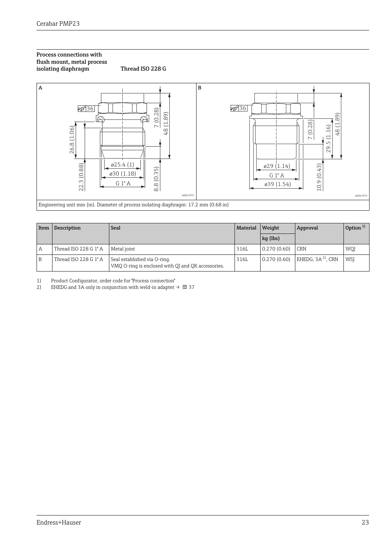#### <span id="page-22-0"></span>Process connections with flush mount, metal process isolating diaphragm Thread ISO 228 G





| Item | Description           | Seal                                                                               | Material | Weight      | Approval              | Option $1$ |
|------|-----------------------|------------------------------------------------------------------------------------|----------|-------------|-----------------------|------------|
|      |                       |                                                                                    |          | $kq$ (lbs)  |                       |            |
| А    | Thread ISO 228 G 1" A | Metal joint                                                                        | 316L     | 0.270(0.60) | <b>CRN</b>            | WQJ        |
| B    | Thread ISO 228 G 1" A | Seal established via O-ring.<br>VMQ O-ring is enclosed with QJ and QK accessories. | 316L     | 0.270(0.60) | EHEDG, $3A^{2}$ , CRN | <b>WSI</b> |

1) Product Configurator, order code for "Process connection"

2) EHEDG and 3A only in conjunction with weld-in adapter  $\rightarrow \blacksquare$  37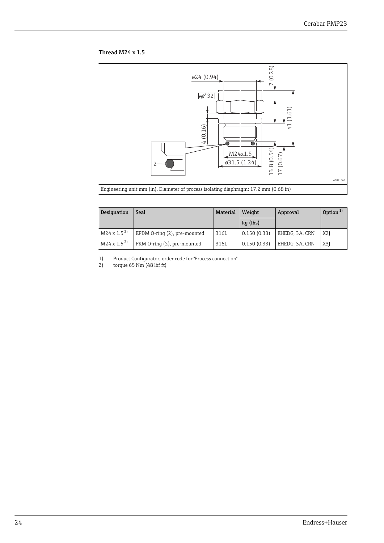#### Thread M24 x 1.5



| Designation          | Seal                         | <b>Material</b> | Weight      | Approval       | Option $1$       |
|----------------------|------------------------------|-----------------|-------------|----------------|------------------|
|                      |                              |                 | $kq$ (lbs)  |                |                  |
| $M24 \times 1.5^{2}$ | EPDM O-ring (2), pre-mounted | 316L            | 0.150(0.33) | EHEDG, 3A, CRN | X <sub>2</sub> I |
| $M24 \times 1.5^{2}$ | FKM O-ring (2), pre-mounted  | 316L            | 0.150(0.33) | EHEDG, 3A, CRN | X3I              |

1) Product Configurator, order code for "Process connection"

2) torque 65 Nm (48 lbf ft)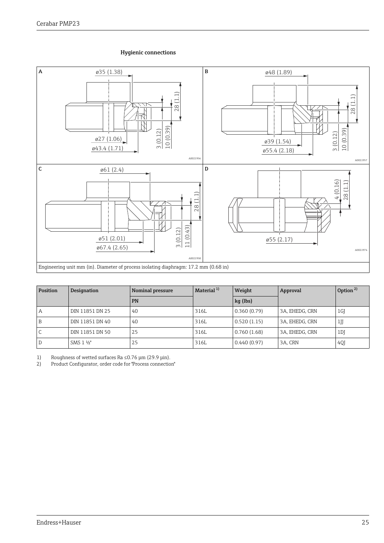#### Hygienic connections



| Position | Designation     | Nominal pressure | Material <sup>1)</sup> | Weight      | Approval       | Option <sup>2)</sup> |
|----------|-----------------|------------------|------------------------|-------------|----------------|----------------------|
|          |                 | <b>PN</b>        |                        | kg (lbs)    |                |                      |
| А        | DIN 11851 DN 25 | 40               | 316L                   | 0.360(0.79) | 3A, EHEDG, CRN | 1 <sub>G</sub>       |
| B        | DIN 11851 DN 40 | 40               | 316L                   | 0.520(1.15) | 3A, EHEDG, CRN | $1$ JJ               |
|          | DIN 11851 DN 50 | 25               | 316L                   | 0.760(1.68) | 3A, EHEDG, CRN | 1 <sub>D</sub>       |
| D        | SMS 1 1/2"      | 25               | 316L                   | 0.440(0.97) | 3A, CRN        | 4QJ                  |

1) Roughness of wetted surfaces Ra ≤0.76 μm (29.9 μin).<br>2) Product Configurator, order code for "Process connectio

2) Product Configurator, order code for "Process connection"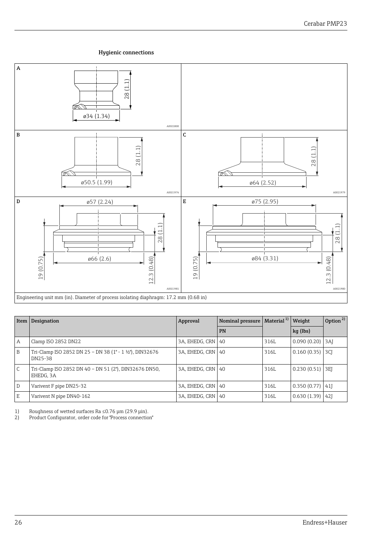#### Hygienic connections



| Item           | Designation                                                         | Approval       | Nominal pressure | Material <sup>1)</sup> | Weight      | Option <sup>2)</sup> |
|----------------|---------------------------------------------------------------------|----------------|------------------|------------------------|-------------|----------------------|
|                |                                                                     |                | <b>PN</b>        |                        | kg (lbs)    |                      |
| $\overline{A}$ | Clamp ISO 2852 DN22                                                 | 3A, EHEDG, CRN | 40               | 316L                   | 0.090(0.20) | 3AI                  |
| B              | Tri-Clamp ISO 2852 DN 25 - DN 38 (1" - 1 1/2"), DIN32676<br>DN25-38 | 3A, EHEDG, CRN | -40              | 316L                   | 0.160(0.35) | 3CI                  |
| $\mathsf{C}$   | Tri-Clamp ISO 2852 DN 40 - DN 51 (2"), DIN32676 DN50,<br>EHEDG, 3A  | 3A. EHEDG. CRN | 40               | 316L                   | 0.230(0.51) | 3EI                  |
| l D            | Varivent F pipe DN25-32                                             | 3A. EHEDG. CRN | 40               | 316L                   | 0.350(0.77) | 41                   |
| E              | Varivent N pipe DN40-162                                            | 3A, EHEDG, CRN | 40               | 316L                   | 0.630(1.39) | 421                  |

1) Roughness of wetted surfaces Ra ≤0.76 μm (29.9 μin).

2) Product Configurator, order code for "Process connection"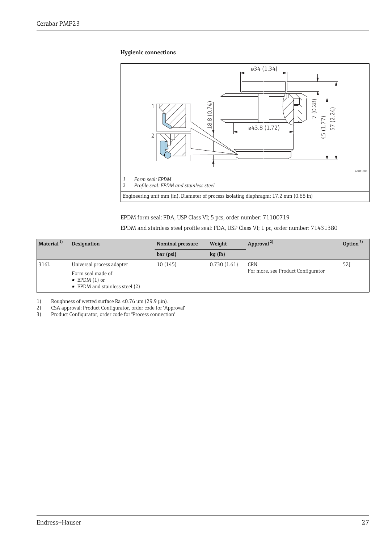#### Hygienic connections



EPDM form seal: FDA, USP Class VI; 5 pcs, order number: 71100719

EPDM and stainless steel profile seal: FDA, USP Class VI; 1 pc, order number: 71431380

| Material $1)$ | Designation                                                                                                       | Nominal pressure | Weight      | Approval <sup>2)</sup>                           | Option $3)$ |
|---------------|-------------------------------------------------------------------------------------------------------------------|------------------|-------------|--------------------------------------------------|-------------|
|               |                                                                                                                   | bar (psi)        | $kq$ (lb)   |                                                  |             |
| 316L          | Universal process adapter<br>Form seal made of<br>$\bullet$ EPDM (1) or<br>$\bullet$ EPDM and stainless steel (2) | 10(145)          | 0.730(1.61) | <b>CRN</b><br>For more, see Product Configurator | 52]         |

1) Roughness of wetted surface Ra ≤0.76 μm (29.9 μin).<br>2) CSA approval: Product Configurator, order code for "A

2) CSA approval: Product Configurator, order code for "Approval"

3) Product Configurator, order code for "Process connection"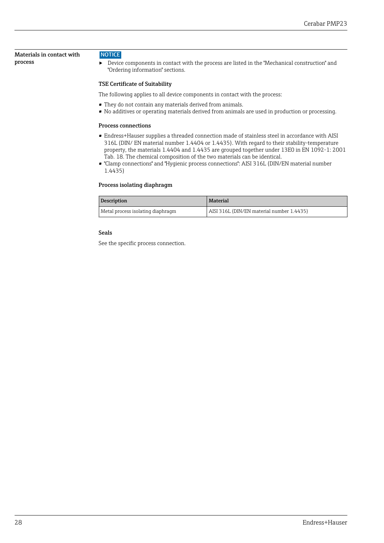<span id="page-27-0"></span>Materials in contact with process

#### **NOTICE**

‣ Device components in contact with the process are listed in the "Mechanical construction" and "Ordering information" sections.

#### TSE Certificate of Suitability

The following applies to all device components in contact with the process:

- They do not contain any materials derived from animals.
- No additives or operating materials derived from animals are used in production or processing.

#### Process connections

- Endress+Hauser supplies a threaded connection made of stainless steel in accordance with AISI 316L (DIN/ EN material number 1.4404 or 1.4435). With regard to their stability-temperature property, the materials 1.4404 and 1.4435 are grouped together under 13E0 in EN 1092-1: 2001 Tab. 18. The chemical composition of the two materials can be identical.
- "Clamp connections" and "Hygienic process connections": AISI 316L (DIN/EN material number 1.4435)

#### Process isolating diaphragm

| Description                       | <b>Material</b>                           |
|-----------------------------------|-------------------------------------------|
| Metal process isolating diaphragm | AISI 316L (DIN/EN material number 1.4435) |

#### Seals

See the specific process connection.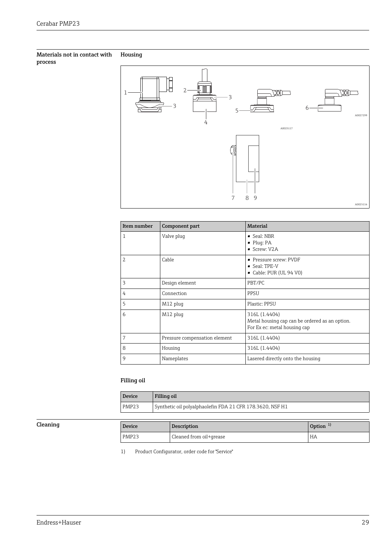#### <span id="page-28-0"></span>Materials not in contact with process Housing



| Item number | Component part                | <b>Material</b>                                                                                 |
|-------------|-------------------------------|-------------------------------------------------------------------------------------------------|
| 1           | Valve plug                    | $\bullet$ Seal: NBR<br>$\blacksquare$ Plug: PA<br>Screw: V2A                                    |
| 2           | Cable                         | • Pressure screw: PVDF<br>• Seal: TPE-V<br>$\bullet$ Cable: PUR (UL 94 V0)                      |
| 3           | Design element                | PBT/PC                                                                                          |
| 4           | Connection                    | <b>PPSU</b>                                                                                     |
| 5           | M12 plug                      | Plastic: PPSU                                                                                   |
| 6           | M12 plug                      | 316L (1.4404)<br>Metal housing cap can be ordered as an option.<br>For Ex ec: metal housing cap |
| 7           | Pressure compensation element | 316L (1.4404)                                                                                   |
| 8           | Housing                       | 316L (1.4404)                                                                                   |
| 9           | Nameplates                    | Lasered directly onto the housing                                                               |

### Filling oil

| Device | Filling oil                                               |  |
|--------|-----------------------------------------------------------|--|
| PMP23  | Synthetic oil polyalphaolefin FDA 21 CFR 178.3620, NSF H1 |  |

| Cleaning | <b>Device</b>     | <b>Description</b>                | Option |
|----------|-------------------|-----------------------------------|--------|
|          | PMP <sub>23</sub> | $\sim$<br>Cleaned from oil+grease | HA     |

1) Product Configurator, order code for "Service"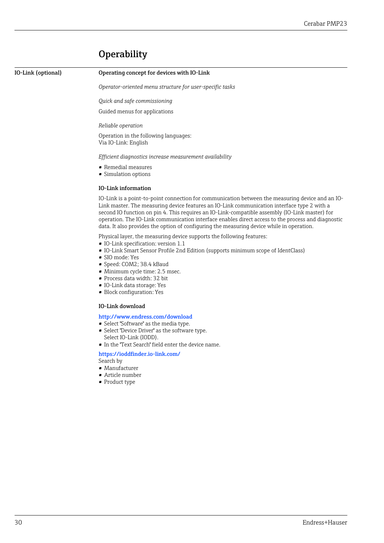## **Operability**

<span id="page-29-0"></span>

#### I) Operating concept for devices with IO-Link

*Operator-oriented menu structure for user-specific tasks*

*Quick and safe commissioning*

Guided menus for applications

*Reliable operation*

Operation in the following languages: Via IO-Link: English

*Efficient diagnostics increase measurement availability*

- Remedial measures
- Simulation options

#### IO-Link information

IO-Link is a point-to-point connection for communication between the measuring device and an IO-Link master. The measuring device features an IO-Link communication interface type 2 with a second IO function on pin 4. This requires an IO-Link-compatible assembly (IO-Link master) for operation. The IO-Link communication interface enables direct access to the process and diagnostic data. It also provides the option of configuring the measuring device while in operation.

Physical layer, the measuring device supports the following features:

- IO-Link specification: version 1.1
- IO-Link Smart Sensor Profile 2nd Edition (supports minimum scope of IdentClass)
- SIO mode: Yes
- Speed: COM2; 38.4 kBaud
- Minimum cycle time: 2.5 msec.
- Process data width: 32 bit
- IO-Link data storage: Yes
- Block configuration: Yes

#### IO-Link download

http://www.endress.com/download

- Select "Software" as the media type.
- Select "Device Driver" as the software type. Select IO-Link (IODD).
- In the "Text Search" field enter the device name.

#### https://ioddfinder.io-link.com/

Search by

- Manufacturer
- Article number
- Product type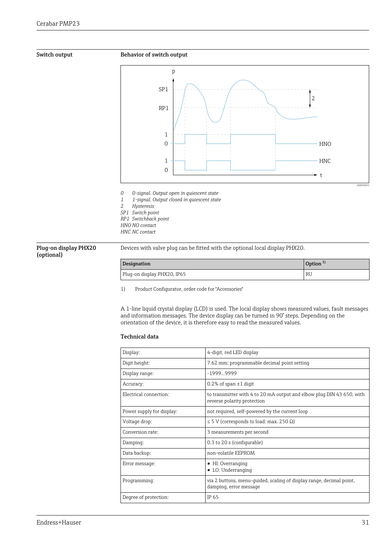<span id="page-30-0"></span>



Plug-on display PHX20 (optional)

Devices with valve plug can be fitted with the optional local display PHX20.

| Designation                 | Option $1$ |
|-----------------------------|------------|
| Plug-on display PHX20, IP65 | <b>RU</b>  |

1) Product Configurator, order code for "Accessories"

A 1-line liquid crystal display (LCD) is used. The local display shows measured values, fault messages and information messages. The device display can be turned in 90° steps. Depending on the orientation of the device, it is therefore easy to read the measured values.

#### Technical data

| Display:                  | 4-digit, red LED display                                                                             |  |  |
|---------------------------|------------------------------------------------------------------------------------------------------|--|--|
| Digit height:             | 7.62 mm; programmable decimal point setting                                                          |  |  |
| Display range:            | -19999999                                                                                            |  |  |
| Accuracy:                 | 0.2% of span $\pm 1$ digit                                                                           |  |  |
| Electrical connection:    | to transmitter with 4 to 20 mA output and elbow plug DIN 43 650, with<br>reverse polarity protection |  |  |
| Power supply for display: | not required, self-powered by the current loop                                                       |  |  |
| Voltage drop:             | $\leq$ 5 V (corresponds to load: max. 250 $\Omega$ )                                                 |  |  |
| Conversion rate:          | 3 measurements per second                                                                            |  |  |
| Damping:                  | 0.3 to 20 s (configurable)                                                                           |  |  |
| Data backup:              | non-volatile EEPROM                                                                                  |  |  |
| Error message:            | $\blacksquare$ HI: Overranging<br>$\blacksquare$ LO: Underranging                                    |  |  |
| Programming:              | via 2 buttons, menu-guided, scaling of display range, decimal point,<br>damping, error message       |  |  |
| Degree of protection:     | IP 65                                                                                                |  |  |
|                           |                                                                                                      |  |  |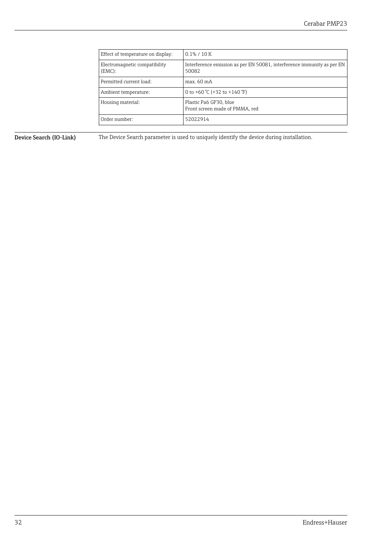<span id="page-31-0"></span>

| Effect of temperature on display:          | $0.1\% / 10K$                                                                   |  |
|--------------------------------------------|---------------------------------------------------------------------------------|--|
| Electromagnetic compatibility<br>$(EMC)$ : | Interference emission as per EN 50081, interference immunity as per EN<br>50082 |  |
| Permitted current load:                    | max. 60 mA                                                                      |  |
| Ambient temperature:                       | 0 to +60 $°C$ (+32 to +140 $°F$ )                                               |  |
| Housing material:                          | Plastic Pa6 GF30, blue<br>Front screen made of PMMA, red                        |  |
| Order number:                              | 52022914                                                                        |  |

Device Search (IO-Link) The Device Search parameter is used to uniquely identify the device during installation.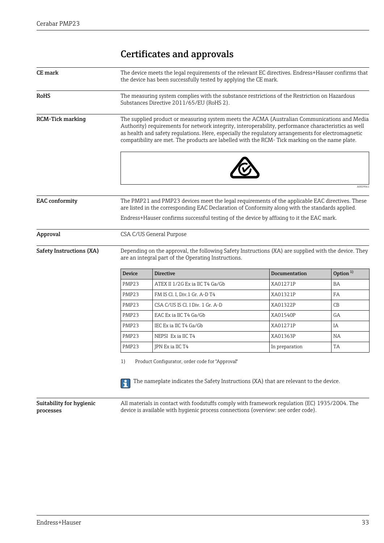## Certificates and approvals

<span id="page-32-0"></span>

|                                                                                                                                                                                                    | The measuring system complies with the substance restrictions of the Restriction on Hazardous<br>Substances Directive 2011/65/EU (RoHS 2).<br>The supplied product or measuring system meets the ACMA (Australian Communications and Media<br>Authority) requirements for network integrity, interoperability, performance characteristics as well |                                                                                                    |                                                                                                                                                                                                  |
|----------------------------------------------------------------------------------------------------------------------------------------------------------------------------------------------------|----------------------------------------------------------------------------------------------------------------------------------------------------------------------------------------------------------------------------------------------------------------------------------------------------------------------------------------------------|----------------------------------------------------------------------------------------------------|--------------------------------------------------------------------------------------------------------------------------------------------------------------------------------------------------|
|                                                                                                                                                                                                    |                                                                                                                                                                                                                                                                                                                                                    |                                                                                                    |                                                                                                                                                                                                  |
|                                                                                                                                                                                                    | compatibility are met. The products are labelled with the RCM- Tick marking on the name plate.                                                                                                                                                                                                                                                     | as health and safety requlations. Here, especially the requlatory arrangements for electromagnetic |                                                                                                                                                                                                  |
|                                                                                                                                                                                                    |                                                                                                                                                                                                                                                                                                                                                    |                                                                                                    | A0029563                                                                                                                                                                                         |
| The PMP21 and PMP23 devices meet the legal requirements of the applicable EAC directives. These<br>are listed in the corresponding EAC Declaration of Conformity along with the standards applied. |                                                                                                                                                                                                                                                                                                                                                    |                                                                                                    |                                                                                                                                                                                                  |
| CSA C/US General Purpose                                                                                                                                                                           |                                                                                                                                                                                                                                                                                                                                                    |                                                                                                    |                                                                                                                                                                                                  |
|                                                                                                                                                                                                    |                                                                                                                                                                                                                                                                                                                                                    |                                                                                                    |                                                                                                                                                                                                  |
| <b>Device</b>                                                                                                                                                                                      | <b>Directive</b>                                                                                                                                                                                                                                                                                                                                   | <b>Documentation</b>                                                                               | Option $1$                                                                                                                                                                                       |
| PMP23                                                                                                                                                                                              | ATEX II 1/2G Ex ia IIC T4 Ga/Gb                                                                                                                                                                                                                                                                                                                    | XA01271P                                                                                           | BA                                                                                                                                                                                               |
| PMP23                                                                                                                                                                                              | FM IS Cl. I, Div.1 Gr. A-D T4                                                                                                                                                                                                                                                                                                                      | XA01321P                                                                                           | FA                                                                                                                                                                                               |
| PMP <sub>23</sub>                                                                                                                                                                                  | CSA C/US IS Cl. I Div. 1 Gr. A-D                                                                                                                                                                                                                                                                                                                   | XA01322P                                                                                           | CB                                                                                                                                                                                               |
| PMP <sub>23</sub>                                                                                                                                                                                  | EAC Ex ia IIC T4 Ga/Gb                                                                                                                                                                                                                                                                                                                             | XA01540P                                                                                           | GA                                                                                                                                                                                               |
| PMP23                                                                                                                                                                                              | IEC Ex ia IIC T4 Ga/Gb                                                                                                                                                                                                                                                                                                                             | XA01271P                                                                                           | ΙA                                                                                                                                                                                               |
| PMP <sub>23</sub>                                                                                                                                                                                  | NEPSI Ex ia IIC T4                                                                                                                                                                                                                                                                                                                                 | XA01363P                                                                                           | <b>NA</b>                                                                                                                                                                                        |
| PMP <sub>23</sub>                                                                                                                                                                                  | JPN Ex ia IIC T4                                                                                                                                                                                                                                                                                                                                   | In preparation                                                                                     | TA                                                                                                                                                                                               |
|                                                                                                                                                                                                    |                                                                                                                                                                                                                                                                                                                                                    | are an integral part of the Operating Instructions.                                                | Endress+Hauser confirms successful testing of the device by affixing to it the EAC mark.<br>Depending on the approval, the following Safety Instructions (XA) are supplied with the device. They |

Suitability for hygienic processes

All materials in contact with foodstuffs comply with framework regulation (EC) 1935/2004. The device is available with hygienic process connections (overview: see order code).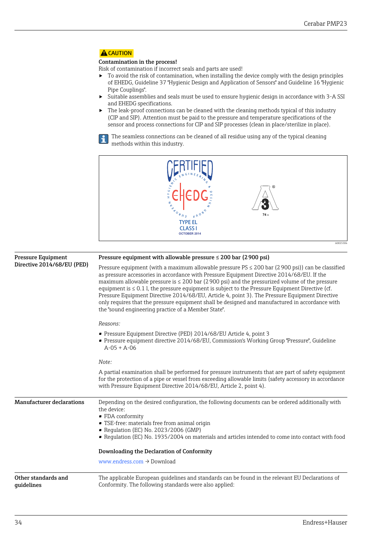### <span id="page-33-0"></span>**A**CAUTION

#### Contamination in the process!

Risk of contamination if incorrect seals and parts are used!

- $\triangleright$  To avoid the risk of contamination, when installing the device comply with the design principles of EHEDG, Guideline 37 "Hygienic Design and Application of Sensors" and Guideline 16 "Hygienic Pipe Couplings".
- ‣ Suitable assemblies and seals must be used to ensure hygienic design in accordance with 3-A SSI and EHEDG specifications.
- ‣ The leak-proof connections can be cleaned with the cleaning methods typical of this industry (CIP and SIP). Attention must be paid to the pressure and temperature specifications of the sensor and process connections for CIP and SIP processes (clean in place/sterilize in place).

The seamless connections can be cleaned of all residue using any of the typical cleaning methods within this industry.

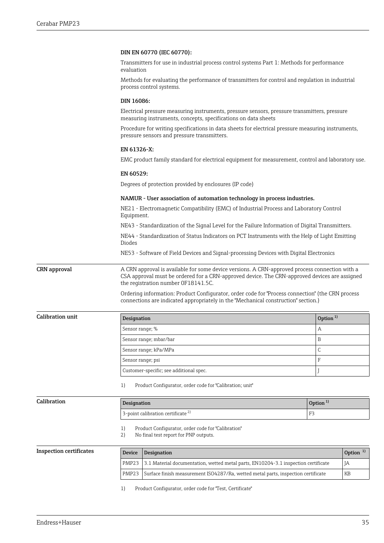#### <span id="page-34-0"></span>DIN EN 60770 (IEC 60770):

Transmitters for use in industrial process control systems Part 1: Methods for performance evaluation

Methods for evaluating the performance of transmitters for control and regulation in industrial process control systems.

#### DIN 16086:

Electrical pressure measuring instruments, pressure sensors, pressure transmitters, pressure measuring instruments, concepts, specifications on data sheets

Procedure for writing specifications in data sheets for electrical pressure measuring instruments, pressure sensors and pressure transmitters.

#### EN 61326-X:

EMC product family standard for electrical equipment for measurement, control and laboratory use.

#### EN 60529:

Degrees of protection provided by enclosures (IP code)

#### NAMUR - User association of automation technology in process industries.

NE21 - Electromagnetic Compatibility (EMC) of Industrial Process and Laboratory Control Equipment.

NE43 - Standardization of the Signal Level for the Failure Information of Digital Transmitters.

NE44 - Standardization of Status Indicators on PCT Instruments with the Help of Light Emitting Diodes

NE53 - Software of Field Devices and Signal-processing Devices with Digital Electronics

**CRN approval** A CRN approval is available for some device versions. A CRN-approved process connection with a CSA approval must be ordered for a CRN-approved device. The CRN-approved devices are assigned the registration number 0F18141.5C.

> Ordering information: Product Configurator, order code for "Process connection" (the CRN process connections are indicated appropriately in the "Mechanical construction" section.)

 $\begin{array}{|l|} \hbox{Calibration unit} \end{array} \qquad \qquad \begin{array}{|l|} \hbox{Designation} \end{array}$ Sensor range; % A Sensor range; mbar/bar B Sensor range; kPa/MPa C Sensor range; psi F Customer-specific; see additional spec.  $\boxed{J}$ 

1) Product Configurator, order code for "Calibration; unit"

| Calibration | Designation                                   | Option <sup>1</sup>     |
|-------------|-----------------------------------------------|-------------------------|
|             | 3-point calibration certificate $\frac{2}{3}$ | $\blacksquare$<br>- F 2 |
|             |                                               |                         |

1) Product Configurator, order code for "Calibration"<br>2) No final test report for PNP outputs.

No final test report for PNP outputs.

Inspection certificates Device Designation Device Designation Device Designation Device Designation PMP23 3.1 Material documentation, wetted metal parts, EN10204-3.1 inspection certificate PMP23 Surface finish measurement ISO4287/Ra, wetted metal parts, inspection certificate

1) Product Configurator, order code for "Test, Certificate"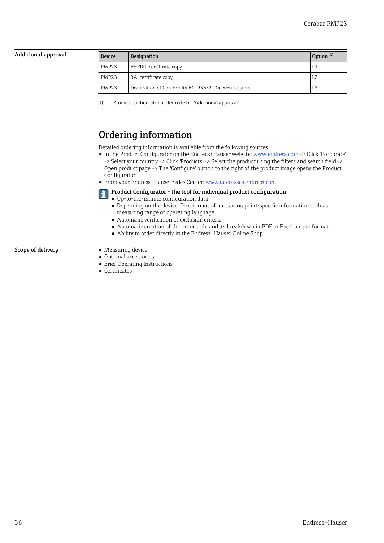#### <span id="page-35-0"></span>Additional approval

| <b>Device</b>     | Designation                                         | Option $1$ |
|-------------------|-----------------------------------------------------|------------|
| PMP <sub>23</sub> | EHEDG, certificate copy                             | I.1        |
| PMP <sub>23</sub> | 3A, certificate copy                                | L2         |
| PMP <sub>23</sub> | Declaration of Conformity EC1935/2004, wetted parts | L3.        |

1) Product Configurator, order code for "Additional approval"

### Ordering information

Detailed ordering information is available from the following sources:

- In the Product Configurator on the Endress+Hauser website: www.endress.com -> Click "Corporate" -> Select your country -> Click "Products" -> Select the product using the filters and search field -> Open product page -> The "Configure" button to the right of the product image opens the Product Configurator.
- From your Endress+Hauser Sales Center: www.addresses.endress.com
- Product Configurator the tool for individual product configuration  $\mathbf{1}$

• Up-to-the-minute configuration data

- Depending on the device: Direct input of measuring point-specific information such as measuring range or operating language
- Automatic verification of exclusion criteria
- Automatic creation of the order code and its breakdown in PDF or Excel output format
- Ability to order directly in the Endress+Hauser Online Shop

#### Scope of delivery **•** Measuring device

- Optional accessories
- Brief Operating Instructions
- Certificates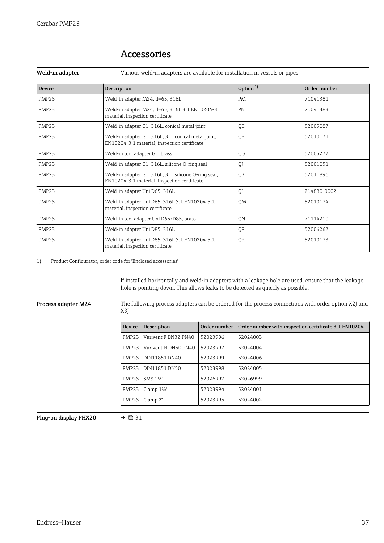| Device            | <b>Description</b>                                                                                   | Option $1$ | Order number |
|-------------------|------------------------------------------------------------------------------------------------------|------------|--------------|
| <b>PMP23</b>      | Weld-in adapter M24, d=65, 316L                                                                      | <b>PM</b>  | 71041381     |
| PMP <sub>23</sub> | Weld-in adapter M24, d=65, 316L 3.1 EN10204-3.1<br>material, inspection certificate                  | PN         | 71041383     |
| PMP <sub>23</sub> | Weld-in adapter G1, 316L, conical metal joint                                                        | <b>OE</b>  | 52005087     |
| <b>PMP23</b>      | Weld-in adapter G1, 316L, 3.1, conical metal joint,<br>EN10204-3.1 material, inspection certificate  | <b>OF</b>  | 52010171     |
| <b>PMP23</b>      | Weld-in tool adapter G1, brass                                                                       | QG         | 52005272     |
| PMP <sub>23</sub> | Weld-in adapter G1, 316L, silicone O-ring seal                                                       | QI         | 52001051     |
| <b>PMP23</b>      | Weld-in adapter G1, 316L, 3.1, silicone O-ring seal,<br>EN10204-3.1 material, inspection certificate | OK         | 52011896     |
| <b>PMP23</b>      | Weld-in adapter Uni D65, 316L                                                                        | QL         | 214880-0002  |
| <b>PMP23</b>      | Weld-in adapter Uni D65, 316L 3.1 EN10204-3.1<br>material, inspection certificate                    |            | 52010174     |
| PMP <sub>23</sub> | Weld-in tool adapter Uni D65/D85, brass                                                              | <b>ON</b>  | 71114210     |
| PMP <sub>23</sub> | Weld-in adapter Uni D85, 316L                                                                        | <b>OP</b>  | 52006262     |
| PMP23             | Weld-in adapter Uni D85, 316L 3.1 EN10204-3.1<br>material, inspection certificate                    | QR         | 52010173     |

### Accessories

<span id="page-36-0"></span>Weld-in adapter Various weld-in adapters are available for installation in vessels or pipes.

1) Product Configurator, order code for "Enclosed accessories"

If installed horizontally and weld-in adapters with a leakage hole are used, ensure that the leakage hole is pointing down. This allows leaks to be detected as quickly as possible.

Process adapter M24 The following process adapters can be ordered for the process connections with order option X2J and X3J:

| <b>Device</b>     | <b>Description</b>   | Order number | Order number with inspection certificate 3.1 EN10204 |
|-------------------|----------------------|--------------|------------------------------------------------------|
| PMP <sub>23</sub> | Varivent F DN32 PN40 | 52023996     | 52024003                                             |
| PMP <sub>23</sub> | Varivent N DN50 PN40 | 52023997     | 52024004                                             |
| PMP <sub>23</sub> | DIN11851 DN40        | 52023999     | 52024006                                             |
| PMP <sub>23</sub> | DIN11851 DN50        | 52023998     | 52024005                                             |
| PMP <sub>23</sub> | SMS 11/2"            | 52026997     | 52026999                                             |
| PMP23             | Clamp $1\frac{1}{2}$ | 52023994     | 52024001                                             |
| PMP <sub>23</sub> | Clamp $2"$           | 52023995     | 52024002                                             |
|                   |                      |              |                                                      |

Plug-on display PHX20  $\rightarrow \Box$  31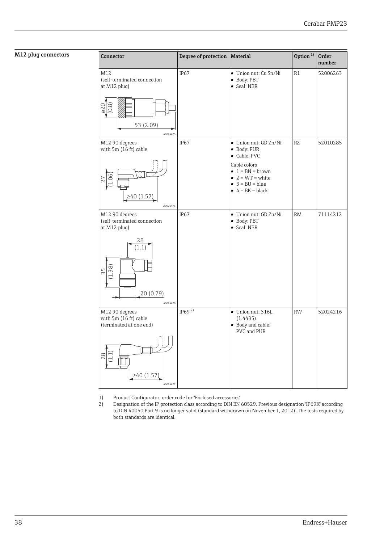### <span id="page-37-0"></span>M12 plug connectors

| Connector                                                                                                          | Degree of protection | Material                                                                                                                                                          | Option $1$ | Order<br>number |
|--------------------------------------------------------------------------------------------------------------------|----------------------|-------------------------------------------------------------------------------------------------------------------------------------------------------------------|------------|-----------------|
| M12<br>(self-terminated connection<br>at M12 plug)<br>$\frac{620}{0.8}$<br>53 (2.09)<br>A0024475                   | IP67                 | Union nut: Cu Sn/Ni<br>• Body: PBT<br>• Seal: NBR                                                                                                                 | R1         | 52006263        |
| M12 90 degrees<br>with 5m (16 ft) cable<br>≥40 $(1.57)$<br>A0024476                                                | IP67                 | • Union nut: GD Zn/Ni<br>· Body: PUR<br>Cable: PVC<br>Cable colors<br>$\bullet$ 1 = BN = brown<br>$2 = WT = white$<br>$\bullet$ 3 = BU = blue<br>$4 = BK = black$ | RZ         | 52010285        |
| M12 90 degrees<br>(self-terminated connection<br>at M12 plug)<br>28<br>(1.1)<br>38)<br>55<br>20 (0.79)<br>A0024478 | IP <sub>67</sub>     | • Union nut: GD Zn/Ni<br>· Body: PBT<br>Geal: NBR                                                                                                                 | <b>RM</b>  | 71114212        |
| M12 90 degrees<br>with 5m (16 ft) cable<br>(terminated at one end)<br>$^{8}$<br>≥40 $(1.57)$<br>A0024477           | IP69 $^{2)}$         | Union nut: 316L<br>(1.4435)<br>· Body and cable:<br>PVC and PUR                                                                                                   | <b>RW</b>  | 52024216        |

- 1) Product Configurator, order code for "Enclosed accessories"<br>2) Designation of the IP protection class according to DIN EN (
- 2) Designation of the IP protection class according to DIN EN 60529. Previous designation "IP69K" according to DIN 40050 Part 9 is no longer valid (standard withdrawn on November 1, 2012). The tests required by both standards are identical.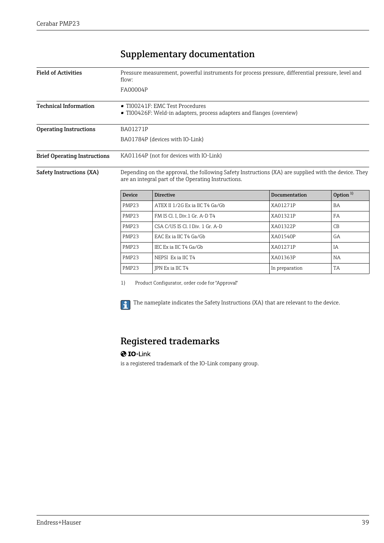## Supplementary documentation

<span id="page-38-0"></span>

| <b>Field of Activities</b>          | Pressure measurement, powerful instruments for process pressure, differential pressure, level and<br>flow:                                                  |                                 |               |            |  |  |  |
|-------------------------------------|-------------------------------------------------------------------------------------------------------------------------------------------------------------|---------------------------------|---------------|------------|--|--|--|
|                                     | FA00004P                                                                                                                                                    |                                 |               |            |  |  |  |
| <b>Technical Information</b>        | ■ TI00241F: EMC Test Procedures<br>• TI00426F: Weld-in adapters, process adapters and flanges (overview)                                                    |                                 |               |            |  |  |  |
| <b>Operating Instructions</b>       | <b>BA01271P</b>                                                                                                                                             |                                 |               |            |  |  |  |
|                                     | BA01784P (devices with IO-Link)                                                                                                                             |                                 |               |            |  |  |  |
| <b>Brief Operating Instructions</b> | KA01164P (not for devices with IO-Link)                                                                                                                     |                                 |               |            |  |  |  |
| Safety Instructions (XA)            | Depending on the approval, the following Safety Instructions (XA) are supplied with the device. They<br>are an integral part of the Operating Instructions. |                                 |               |            |  |  |  |
|                                     | <b>Device</b>                                                                                                                                               | <b>Directive</b>                | Documentation | Option $1$ |  |  |  |
|                                     | PMP <sub>23</sub>                                                                                                                                           | ATEX II 1/2G Ex ia IIC T4 Ga/Gb | XA01271P      | BA         |  |  |  |

| PMP <sub>23</sub> | ATEX II 1/2G Ex ia IIC T4 Ga/Gb  | XA01271P       | BA             |
|-------------------|----------------------------------|----------------|----------------|
| PMP <sub>23</sub> | FM IS Cl. I, Div.1 Gr. A-D T4    | XA01321P       | FA             |
| PMP <sub>23</sub> | CSA C/US IS Cl. I Div. 1 Gr. A-D | XA01322P       | C <sub>B</sub> |
| PMP <sub>23</sub> | EAC Ex ia IIC T4 Ga/Gb           | XA01540P       | GA             |
| PMP <sub>23</sub> | IEC Ex ia IIC T4 Ga/Gb           | XA01271P       | ΙA             |
| PMP <sub>23</sub> | NEPSI Ex ia IIC T4               | XA01363P       | <b>NA</b>      |
| PMP <sub>23</sub> | JPN Ex ia IIC T4                 | In preparation | TA             |
|                   |                                  |                |                |

1) Product Configurator, order code for "Approval"

The nameplate indicates the Safety Instructions (XA) that are relevant to the device.  $| \cdot |$ 

## Registered trademarks

### **O** IO-Link

is a registered trademark of the IO-Link company group.